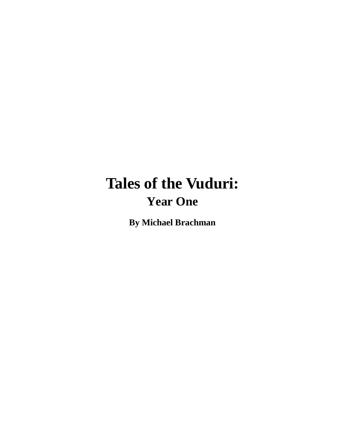# **Tales of the Vuduri: Year One**

**By Michael Brachman**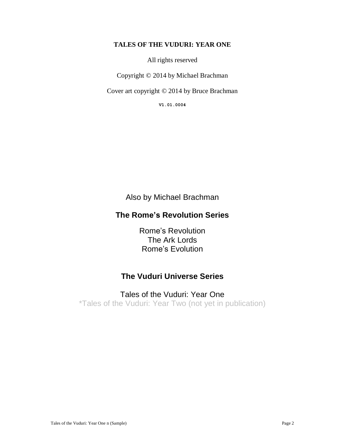#### **TALES OF THE VUDURI: YEAR ONE**

All rights reserved

Copyright © 2014 by Michael Brachman

Cover art copyright © 2014 by Bruce Brachman

**V1.01.0004**

Also by Michael Brachman

### **The Rome's Revolution Series**

Rome's Revolution The Ark Lords Rome's Evolution

### **The Vuduri Universe Series**

### Tales of the Vuduri: Year One

\*Tales of the Vuduri: Year Two (not yet in publication)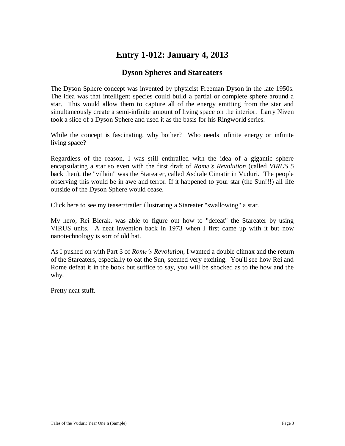# **Entry 1-012: January 4, 2013**

### **Dyson Spheres and Stareaters**

The Dyson Sphere concept was invented by physicist Freeman Dyson in the late 1950s. The idea was that intelligent species could build a partial or complete sphere around a star. This would allow them to capture all of the energy emitting from the star and simultaneously create a semi-infinite amount of living space on the interior. Larry Niven took a slice of a Dyson Sphere and used it as the basis for his Ringworld series.

While the concept is fascinating, why bother? Who needs infinite energy or infinite living space?

Regardless of the reason, I was still enthralled with the idea of a gigantic sphere encapsulating a star so even with the first draft of *Rome's Revolution* (called *VIRUS 5* back then), the "villain" was the Stareater, called Asdrale Cimatir in Vuduri. The people observing this would be in awe and terror. If it happened to your star (the Sun!!!) all life outside of the Dyson Sphere would cease.

#### Click here to see my teaser/trailer illustrating a Stareater "swallowing" a star.

My hero, Rei Bierak, was able to figure out how to "defeat" the Stareater by using VIRUS units. A neat invention back in 1973 when I first came up with it but now nanotechnology is sort of old hat.

As I pushed on with Part 3 of *Rome's Revolution*, I wanted a double climax and the return of the Stareaters, especially to eat the Sun, seemed very exciting. You'll see how Rei and Rome defeat it in the book but suffice to say, you will be shocked as to the how and the why.

Pretty neat stuff.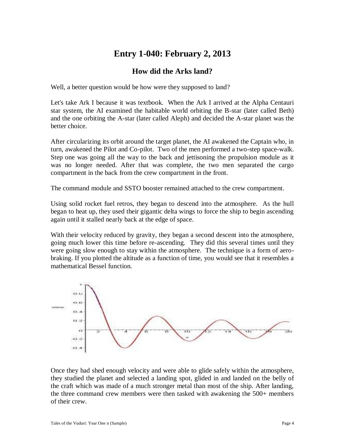# **Entry 1-040: February 2, 2013**

#### **How did the Arks land?**

Well, a better question would be how were they supposed to land?

Let's take Ark I because it was textbook. When the Ark I arrived at the Alpha Centauri star system, the AI examined the habitable world orbiting the B-star (later called Beth) and the one orbiting the A-star (later called Aleph) and decided the A-star planet was the better choice.

After circularizing its orbit around the target planet, the AI awakened the Captain who, in turn, awakened the Pilot and Co-pilot. Two of the men performed a two-step space-walk. Step one was going all the way to the back and jettisoning the propulsion module as it was no longer needed. After that was complete, the two men separated the cargo compartment in the back from the crew compartment in the front.

The command module and SSTO booster remained attached to the crew compartment.

Using solid rocket fuel retros, they began to descend into the atmosphere. As the hull began to heat up, they used their gigantic delta wings to force the ship to begin ascending again until it stalled nearly back at the edge of space.

With their velocity reduced by gravity, they began a second descent into the atmosphere, going much lower this time before re-ascending. They did this several times until they were going slow enough to stay within the atmosphere. The technique is a form of aerobraking. If you plotted the altitude as a function of time, you would see that it resembles a mathematical Bessel function.



Once they had shed enough velocity and were able to glide safely within the atmosphere, they studied the planet and selected a landing spot, glided in and landed on the belly of the craft which was made of a much stronger metal than most of the ship. After landing, the three command crew members were then tasked with awakening the 500+ members of their crew.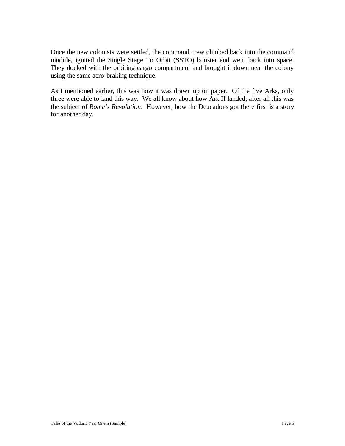Once the new colonists were settled, the command crew climbed back into the command module, ignited the Single Stage To Orbit (SSTO) booster and went back into space. They docked with the orbiting cargo compartment and brought it down near the colony using the same aero-braking technique.

As I mentioned earlier, this was how it was drawn up on paper. Of the five Arks, only three were able to land this way. We all know about how Ark II landed; after all this was the subject of *Rome's Revolution*. However, how the Deucadons got there first is a story for another day.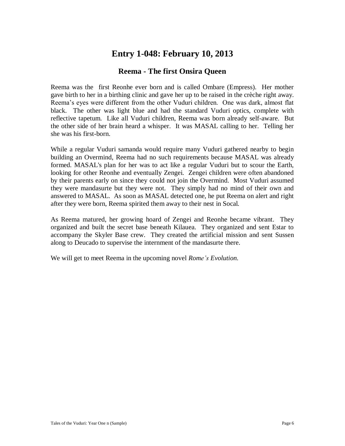### **Entry 1-048: February 10, 2013**

#### **Reema - The first Onsira Queen**

Reema was the first Reonhe ever born and is called Ombare (Empress). Her mother gave birth to her in a birthing clinic and gave her up to be raised in the crèche right away. Reema's eyes were different from the other Vuduri children. One was dark, almost flat black. The other was light blue and had the standard Vuduri optics, complete with reflective tapetum. Like all Vuduri children, Reema was born already self-aware. But the other side of her brain heard a whisper. It was MASAL calling to her. Telling her she was his first-born.

While a regular Vuduri samanda would require many Vuduri gathered nearby to begin building an Overmind, Reema had no such requirements because MASAL was already formed. MASAL's plan for her was to act like a regular Vuduri but to scour the Earth, looking for other Reonhe and eventually Zengei. Zengei children were often abandoned by their parents early on since they could not join the Overmind. Most Vuduri assumed they were mandasurte but they were not. They simply had no mind of their own and answered to MASAL. As soon as MASAL detected one, he put Reema on alert and right after they were born, Reema spirited them away to their nest in Socal.

As Reema matured, her growing hoard of Zengei and Reonhe became vibrant. They organized and built the secret base beneath Kilauea. They organized and sent Estar to accompany the Skyler Base crew. They created the artificial mission and sent Sussen along to Deucado to supervise the internment of the mandasurte there.

We will get to meet Reema in the upcoming novel *Rome's Evolution*.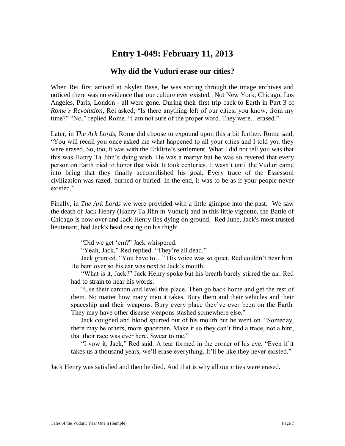### **Entry 1-049: February 11, 2013**

#### **Why did the Vuduri erase our cities?**

When Rei first arrived at Skyler Base, he was sorting through the image archives and noticed there was no evidence that our culture ever existed. Not New York, Chicago, Los Angeles, Paris, London - all were gone. During their first trip back to Earth in Part 3 of *Rome's Revolution*, Rei asked, "Is there anything left of our cities, you know, from my time?" "No," replied Rome. "I am not sure of the proper word. They were…erased."

Later, in *The Ark Lords*, Rome did choose to expound upon this a bit further. Rome said, "You will recall you once asked me what happened to all your cities and I told you they were erased. So, too, it was with the Erklirte's settlement. What I did not tell you was that this was Hanry Ta Jihn's dying wish. He was a martyr but he was so revered that every person on Earth tried to honor that wish. It took centuries. It wasn't until the Vuduri came into being that they finally accomplished his goal. Every trace of the Essessoni civilization was razed, burned or buried. In the end, it was to be as if your people never existed."

Finally, in *The Ark Lords* we were provided with a little glimpse into the past. We saw the death of Jack Henry (Hanry Ta Jihn in Vuduri) and in this little vignette, the Battle of Chicago is now over and Jack Henry lies dying on ground. Red June, Jack's most trusted lieutenant, had Jack's head resting on his thigh:

"Did we get 'em?" Jack whispered.

"Yeah, Jack," Red replied. "They're all dead."

Jack grunted. "You have to…" His voice was so quiet, Red couldn't hear him. He bent over so his ear was next to Jack's mouth.

"What is it, Jack?" Jack Henry spoke but his breath barely stirred the air. Red had to strain to hear his words.

"Use their cannon and level this place. Then go back home and get the rest of them. No matter how many men it takes. Bury them and their vehicles and their spaceship and their weapons. Bury every place they've ever been on the Earth. They may have other disease weapons stashed somewhere else."

Jack coughed and blood spurted out of his mouth but he went on. "Someday, there may be others, more spacemen. Make it so they can't find a trace, not a hint, that their race was ever here. Swear to me."

"I vow it, Jack," Red said. A tear formed in the corner of his eye. "Even if it takes us a thousand years, we'll erase everything. It'll be like they never existed."

Jack Henry was satisfied and then he died. And that is why all our cities were erased.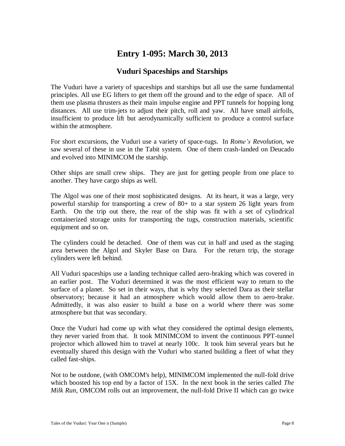# **Entry 1-095: March 30, 2013**

#### **Vuduri Spaceships and Starships**

The Vuduri have a variety of spaceships and starships but all use the same fundamental principles. All use EG lifters to get them off the ground and to the edge of space. All of them use plasma thrusters as their main impulse engine and PPT tunnels for hopping long distances. All use trim-jets to adjust their pitch, roll and yaw. All have small airfoils, insufficient to produce lift but aerodynamically sufficient to produce a control surface within the atmosphere.

For short excursions, the Vuduri use a variety of space-tugs. In *Rome's Revolution*, we saw several of these in use in the Tabit system. One of them crash-landed on Deucado and evolved into MINIMCOM the starship.

Other ships are small crew ships. They are just for getting people from one place to another. They have cargo ships as well.

The Algol was one of their most sophisticated designs. At its heart, it was a large, very powerful starship for transporting a crew of 80+ to a star system 26 light years from Earth. On the trip out there, the rear of the ship was fit with a set of cylindrical containerized storage units for transporting the tugs, construction materials, scientific equipment and so on.

The cylinders could be detached. One of them was cut in half and used as the staging area between the Algol and Skyler Base on Dara. For the return trip, the storage cylinders were left behind.

All Vuduri spaceships use a landing technique called aero-braking which was covered in an earlier post. The Vuduri determined it was the most efficient way to return to the surface of a planet. So set in their ways, that is why they selected Dara as their stellar observatory; because it had an atmosphere which would allow them to aero-brake. Admittedly, it was also easier to build a base on a world where there was some atmosphere but that was secondary.

Once the Vuduri had come up with what they considered the optimal design elements, they never varied from that. It took MINIMCOM to invent the continuous PPT-tunnel projector which allowed him to travel at nearly 100c. It took him several years but he eventually shared this design with the Vuduri who started building a fleet of what they called fast-ships.

Not to be outdone, (with OMCOM's help), MINIMCOM implemented the null-fold drive which boosted his top end by a factor of 15X. In the next book in the series called *The Milk Run*, OMCOM rolls out an improvement, the null-fold Drive II which can go twice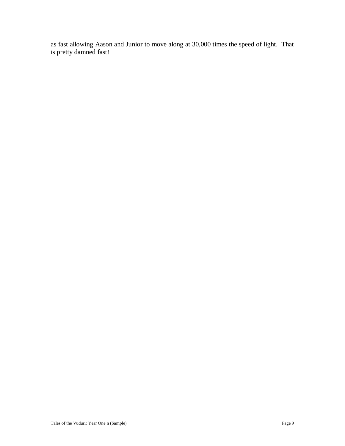as fast allowing Aason and Junior to move along at 30,000 times the speed of light. That is pretty damned fast!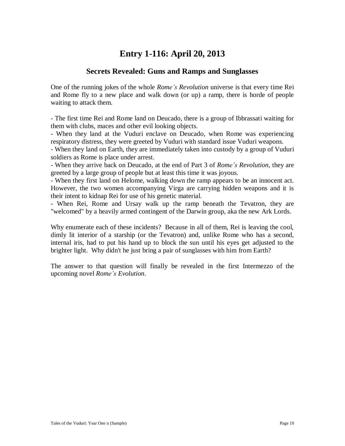### **Entry 1-116: April 20, 2013**

#### **Secrets Revealed: Guns and Ramps and Sunglasses**

One of the running jokes of the whole *Rome's Revolution* universe is that every time Rei and Rome fly to a new place and walk down (or up) a ramp, there is horde of people waiting to attack them.

- The first time Rei and Rome land on Deucado, there is a group of Ibbrassati waiting for them with clubs, maces and other evil looking objects.

- When they land at the Vuduri enclave on Deucado, when Rome was experiencing respiratory distress, they were greeted by Vuduri with standard issue Vuduri weapons.

- When they land on Earth, they are immediately taken into custody by a group of Vuduri soldiers as Rome is place under arrest.

- When they arrive back on Deucado, at the end of Part 3 of *Rome's Revolution*, they are greeted by a large group of people but at least this time it was joyous.

- When they first land on Helome, walking down the ramp appears to be an innocent act. However, the two women accompanying Virga are carrying hidden weapons and it is their intent to kidnap Rei for use of his genetic material.

- When Rei, Rome and Ursay walk up the ramp beneath the Tevatron, they are "welcomed" by a heavily armed contingent of the Darwin group, aka the new Ark Lords.

Why enumerate each of these incidents? Because in all of them, Rei is leaving the cool, dimly lit interior of a starship (or the Tevatron) and, unlike Rome who has a second, internal iris, had to put his hand up to block the sun until his eyes get adjusted to the brighter light. Why didn't he just bring a pair of sunglasses with him from Earth?

The answer to that question will finally be revealed in the first Intermezzo of the upcoming novel *Rome's Evolution*.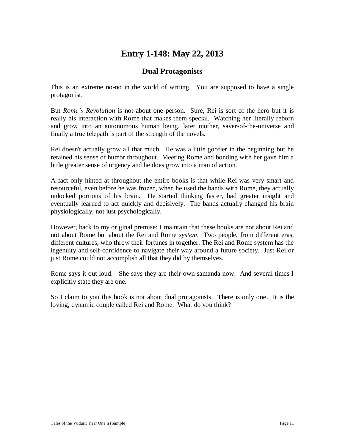# **Entry 1-148: May 22, 2013**

#### **Dual Protagonists**

This is an extreme no-no in the world of writing. You are supposed to have a single protagonist.

But *Rome's Revolution* is not about one person. Sure, Rei is sort of the hero but it is really his interaction with Rome that makes them special. Watching her literally reborn and grow into an autonomous human being, later mother, saver-of-the-universe and finally a true telepath is part of the strength of the novels.

Rei doesn't actually grow all that much. He was a little goofier in the beginning but he retained his sense of humor throughout. Meeting Rome and bonding with her gave him a little greater sense of urgency and he does grow into a man of action.

A fact only hinted at throughout the entire books is that while Rei was very smart and resourceful, even before he was frozen, when he used the bands with Rome, they actually unlocked portions of his brain. He started thinking faster, had greater insight and eventually learned to act quickly and decisively. The bands actually changed his brain physiologically, not just psychologically.

However, back to my original premise: I maintain that these books are not about Rei and not about Rome but about the Rei and Rome *system*. Two people, from different eras, different cultures, who throw their fortunes in together. The Rei and Rome system has the ingenuity and self-confidence to navigate their way around a future society. Just Rei or just Rome could not accomplish all that they did by themselves.

Rome says it out loud. She says they are their own samanda now. And several times I explicitly state they are one.

So I claim to you this book is not about dual protagonists. There is only one. It is the loving, dynamic couple called Rei and Rome. What do you think?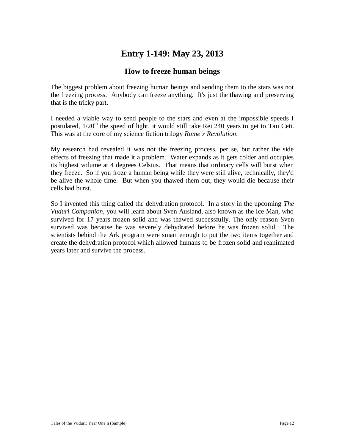# **Entry 1-149: May 23, 2013**

#### **How to freeze human beings**

The biggest problem about freezing human beings and sending them to the stars was not the freezing process. Anybody can freeze anything. It's just the thawing and preserving that is the tricky part.

I needed a viable way to send people to the stars and even at the impossible speeds I postulated,  $1/20<sup>th</sup>$  the speed of light, it would still take Rei 240 years to get to Tau Ceti. This was at the core of my science fiction trilogy *Rome's Revolution*.

My research had revealed it was not the freezing process, per se, but rather the side effects of freezing that made it a problem. Water expands as it gets colder and occupies its highest volume at 4 degrees Celsius. That means that ordinary cells will burst when they freeze. So if you froze a human being while they were still alive, technically, they'd be alive the whole time. But when you thawed them out, they would die because their cells had burst.

So I invented this thing called the dehydration protocol. In a story in the upcoming *The Vuduri Companion*, you will learn about Sven Ausland, also known as the Ice Man, who survived for 17 years frozen solid and was thawed successfully. The only reason Sven survived was because he was severely dehydrated before he was frozen solid. The scientists behind the Ark program were smart enough to put the two items together and create the dehydration protocol which allowed humans to be frozen solid and reanimated years later and survive the process.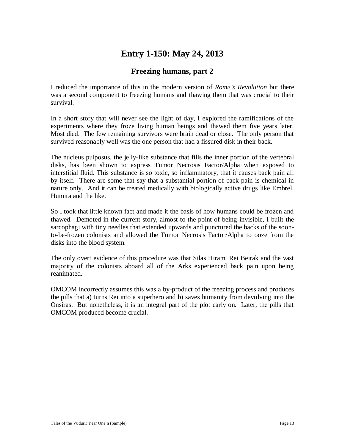# **Entry 1-150: May 24, 2013**

### **Freezing humans, part 2**

I reduced the importance of this in the modern version of *Rome's Revolution* but there was a second component to freezing humans and thawing them that was crucial to their survival.

In a short story that will never see the light of day, I explored the ramifications of the experiments where they froze living human beings and thawed them five years later. Most died. The few remaining survivors were brain dead or close. The only person that survived reasonably well was the one person that had a fissured disk in their back.

The nucleus pulposus, the jelly-like substance that fills the inner portion of the vertebral disks, has been shown to express Tumor Necrosis Factor/Alpha when exposed to interstitial fluid. This substance is so toxic, so inflammatory, that it causes back pain all by itself. There are some that say that a substantial portion of back pain is chemical in nature only. And it can be treated medically with biologically active drugs like Embrel, Humira and the like.

So I took that little known fact and made it the basis of how humans could be frozen and thawed. Demoted in the current story, almost to the point of being invisible, I built the sarcophagi with tiny needles that extended upwards and punctured the backs of the soonto-be-frozen colonists and allowed the Tumor Necrosis Factor/Alpha to ooze from the disks into the blood system.

The only overt evidence of this procedure was that Silas Hiram, Rei Beirak and the vast majority of the colonists aboard all of the Arks experienced back pain upon being reanimated.

OMCOM incorrectly assumes this was a by-product of the freezing process and produces the pills that a) turns Rei into a superhero and b) saves humanity from devolving into the Onsiras. But nonetheless, it is an integral part of the plot early on. Later, the pills that OMCOM produced become crucial.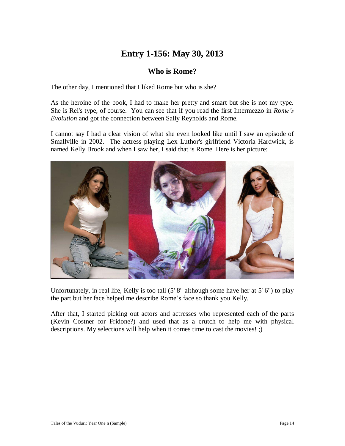# **Entry 1-156: May 30, 2013**

#### **Who is Rome?**

The other day, I mentioned that I liked Rome but who is she?

As the heroine of the book, I had to make her pretty and smart but she is not my type. She is Rei's type, of course. You can see that if you read the first Intermezzo in *Rome's Evolution* and got the connection between Sally Reynolds and Rome.

I cannot say I had a clear vision of what she even looked like until I saw an episode of Smallville in 2002. The actress playing Lex Luthor's girlfriend Victoria Hardwick, is named Kelly Brook and when I saw her, I said that is Rome. Here is her picture:



Unfortunately, in real life, Kelly is too tall (5' 8" although some have her at 5' 6") to play the part but her face helped me describe Rome's face so thank you Kelly.

After that, I started picking out actors and actresses who represented each of the parts (Kevin Costner for Fridone?) and used that as a crutch to help me with physical descriptions. My selections will help when it comes time to cast the movies! ;)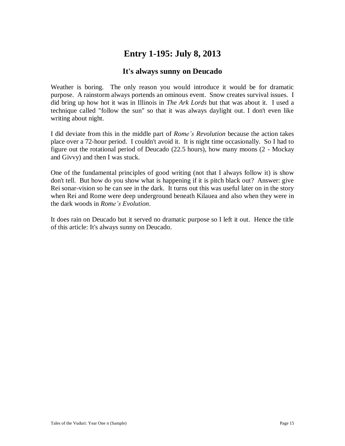# **Entry 1-195: July 8, 2013**

#### **It's always sunny on Deucado**

Weather is boring. The only reason you would introduce it would be for dramatic purpose. A rainstorm always portends an ominous event. Snow creates survival issues. I did bring up how hot it was in Illinois in *The Ark Lords* but that was about it. I used a technique called "follow the sun" so that it was always daylight out. I don't even like writing about night.

I did deviate from this in the middle part of *Rome's Revolution* because the action takes place over a 72-hour period. I couldn't avoid it. It is night time occasionally. So I had to figure out the rotational period of Deucado (22.5 hours), how many moons (2 - Mockay and Givvy) and then I was stuck.

One of the fundamental principles of good writing (not that I always follow it) is show don't tell. But how do you show what is happening if it is pitch black out? Answer: give Rei sonar-vision so he can see in the dark. It turns out this was useful later on in the story when Rei and Rome were deep underground beneath Kilauea and also when they were in the dark woods in *Rome's Evolution*.

It does rain on Deucado but it served no dramatic purpose so I left it out. Hence the title of this article: It's always sunny on Deucado.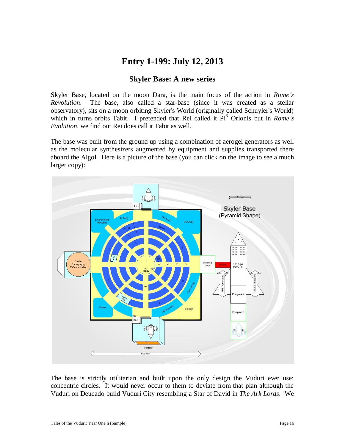### **Entry 1-199: July 12, 2013**

#### **Skyler Base: A new series**

Skyler Base, located on the moon Dara, is the main focus of the action in *Rome's Revolution*. The base, also called a star-base (since it was created as a stellar observatory), sits on a moon orbiting Skyler's World (originally called Schuyler's World) which in turns orbits Tabit. I pretended that Rei called it Pi<sup>3</sup> Orionis but in *Rome's Evolution*, we find out Rei does call it Tabit as well.

The base was built from the ground up using a combination of aerogel generators as well as the molecular synthesizers augmented by equipment and supplies transported there aboard the Algol. Here is a picture of the base (you can click on the image to see a much larger copy):



The base is strictly utilitarian and built upon the only design the Vuduri ever use: concentric circles. It would never occur to them to deviate from that plan although the Vuduri on Deucado build Vuduri City resembling a Star of David in *The Ark Lords*. We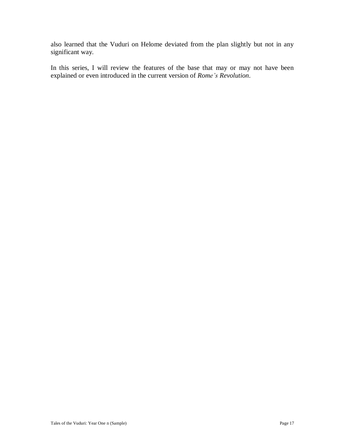also learned that the Vuduri on Helome deviated from the plan slightly but not in any significant way.

In this series, I will review the features of the base that may or may not have been explained or even introduced in the current version of *Rome's Revolution*.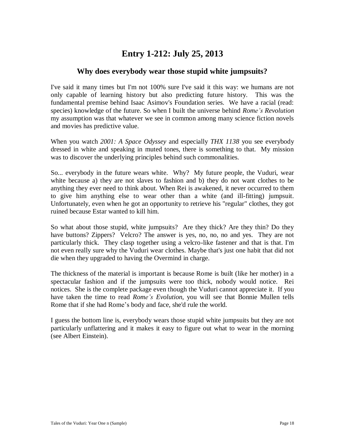### **Entry 1-212: July 25, 2013**

#### **Why does everybody wear those stupid white jumpsuits?**

I've said it many times but I'm not 100% sure I've said it this way: we humans are not only capable of learning history but also predicting future history. This was the fundamental premise behind Isaac Asimov's Foundation series. We have a racial (read: species) knowledge of the future. So when I built the universe behind *Rome's Revolution* my assumption was that whatever we see in common among many science fiction novels and movies has predictive value.

When you watch *2001: A Space Odyssey* and especially *THX 1138* you see everybody dressed in white and speaking in muted tones, there is something to that. My mission was to discover the underlying principles behind such commonalities.

So... everybody in the future wears white. Why? My future people, the Vuduri, wear white because a) they are not slaves to fashion and b) they do not want clothes to be anything they ever need to think about. When Rei is awakened, it never occurred to them to give him anything else to wear other than a white (and ill-fitting) jumpsuit. Unfortunately, even when he got an opportunity to retrieve his "regular" clothes, they got ruined because Estar wanted to kill him.

So what about those stupid, white jumpsuits? Are they thick? Are they thin? Do they have buttons? Zippers? Velcro? The answer is yes, no, no, no and yes. They are not particularly thick. They clasp together using a velcro-like fastener and that is that. I'm not even really sure why the Vuduri wear clothes. Maybe that's just one habit that did not die when they upgraded to having the Overmind in charge.

The thickness of the material is important is because Rome is built (like her mother) in a spectacular fashion and if the jumpsuits were too thick, nobody would notice. Rei notices. She is the complete package even though the Vuduri cannot appreciate it. If you have taken the time to read *Rome's Evolution*, you will see that Bonnie Mullen tells Rome that if she had Rome's body and face, she'd rule the world.

I guess the bottom line is, everybody wears those stupid white jumpsuits but they are not particularly unflattering and it makes it easy to figure out what to wear in the morning (see Albert Einstein).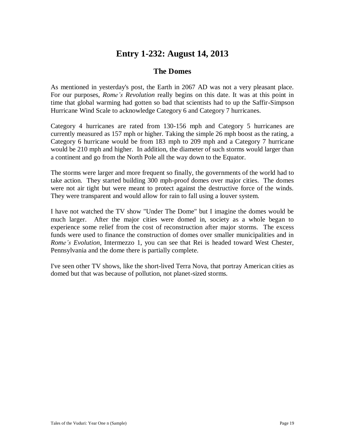### **Entry 1-232: August 14, 2013**

#### **The Domes**

As mentioned in yesterday's post, the Earth in 2067 AD was not a very pleasant place. For our purposes, *Rome's Revolution* really begins on this date. It was at this point in time that global warming had gotten so bad that scientists had to up the Saffir-Simpson Hurricane Wind Scale to acknowledge Category 6 and Category 7 hurricanes.

Category 4 hurricanes are rated from 130-156 mph and Category 5 hurricanes are currently measured as 157 mph or higher. Taking the simple 26 mph boost as the rating, a Category 6 hurricane would be from 183 mph to 209 mph and a Category 7 hurricane would be 210 mph and higher. In addition, the diameter of such storms would larger than a continent and go from the North Pole all the way down to the Equator.

The storms were larger and more frequent so finally, the governments of the world had to take action. They started building 300 mph-proof domes over major cities. The domes were not air tight but were meant to protect against the destructive force of the winds. They were transparent and would allow for rain to fall using a louver system.

I have not watched the TV show "Under The Dome" but I imagine the domes would be much larger. After the major cities were domed in, society as a whole began to experience some relief from the cost of reconstruction after major storms. The excess funds were used to finance the construction of domes over smaller municipalities and in *Rome's Evolution*, Intermezzo 1, you can see that Rei is headed toward West Chester, Pennsylvania and the dome there is partially complete.

I've seen other TV shows, like the short-lived Terra Nova, that portray American cities as domed but that was because of pollution, not planet-sized storms.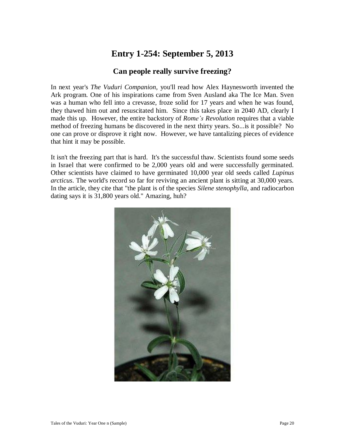# **Entry 1-254: September 5, 2013**

#### **Can people really survive freezing?**

In next year's *The Vuduri Companion*, you'll read how Alex Haynesworth invented the Ark program. One of his inspirations came from Sven Ausland aka The Ice Man. Sven was a human who fell into a crevasse, froze solid for 17 years and when he was found, they thawed him out and resuscitated him. Since this takes place in 2040 AD, clearly I made this up. However, the entire backstory of *Rome's Revolution* requires that a viable method of freezing humans be discovered in the next thirty years. So...is it possible? No one can prove or disprove it right now. However, we have tantalizing pieces of evidence that hint it may be possible.

It isn't the freezing part that is hard. It's the successful thaw. Scientists found some seeds in Israel that were confirmed to be 2,000 years old and were successfully germinated. Other scientists have claimed to have germinated 10,000 year old seeds called *Lupinus arcticus*. The world's record so far for reviving an ancient plant is sitting at 30,000 years. In the article, they cite that "the plant is of the species *Silene stenophylla*, and radiocarbon dating says it is 31,800 years old." Amazing, huh?

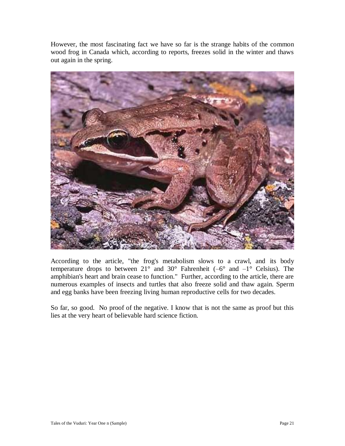However, the most fascinating fact we have so far is the strange habits of the common wood frog in Canada which, according to reports, freezes solid in the winter and thaws out again in the spring.



According to the article, "the frog's metabolism slows to a crawl, and its body temperature drops to between  $21^{\circ}$  and  $30^{\circ}$  Fahrenheit (–6° and –1° Celsius). The amphibian's heart and brain cease to function." Further, according to the article, there are numerous examples of insects and turtles that also freeze solid and thaw again. Sperm and egg banks have been freezing living human reproductive cells for two decades.

So far, so good. No proof of the negative. I know that is not the same as proof but this lies at the very heart of believable hard science fiction.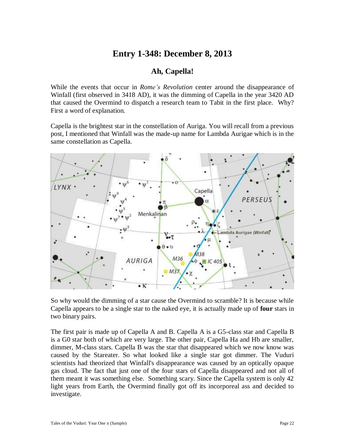### **Entry 1-348: December 8, 2013**

#### **Ah, Capella!**

While the events that occur in *Rome's Revolution* center around the disappearance of Winfall (first observed in 3418 AD), it was the dimming of Capella in the year 3420 AD that caused the Overmind to dispatch a research team to Tabit in the first place. Why? First a word of explanation.

Capella is the brightest star in the constellation of Auriga. You will recall from a previous post, I mentioned that Winfall was the made-up name for Lambda Aurigae which is in the same constellation as Capella.



So why would the dimming of a star cause the Overmind to scramble? It is because while Capella appears to be a single star to the naked eye, it is actually made up of **four** stars in two binary pairs.

The first pair is made up of Capella A and B. Capella A is a G5-class star and Capella B is a G0 star both of which are very large. The other pair, Capella Ha and Hb are smaller, dimmer, M-class stars. Capella B was the star that disappeared which we now know was caused by the Stareater. So what looked like a single star got dimmer. The Vuduri scientists had theorized that Winfall's disappearance was caused by an optically opaque gas cloud. The fact that just one of the four stars of Capella disappeared and not all of them meant it was something else. Something scary. Since the Capella system is only 42 light years from Earth, the Overmind finally got off its incorporeal ass and decided to investigate.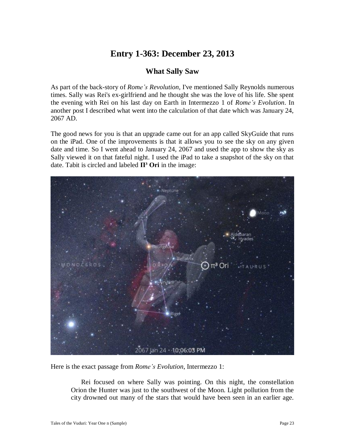# **Entry 1-363: December 23, 2013**

#### **What Sally Saw**

As part of the back-story of *Rome's Revolution*, I've mentioned Sally Reynolds numerous times. Sally was Rei's ex-girlfriend and he thought she was the love of his life. She spent the evening with Rei on his last day on Earth in Intermezzo 1 of *Rome's Evolution*. In another post I described what went into the calculation of that date which was January 24, 2067 AD.

The good news for you is that an upgrade came out for an app called SkyGuide that runs on the iPad. One of the improvements is that it allows you to see the sky on any given date and time. So I went ahead to January 24, 2067 and used the app to show the sky as Sally viewed it on that fateful night. I used the iPad to take a snapshot of the sky on that date. Tabit is circled and labeled **Π³ Ori** in the image:



Here is the exact passage from *Rome's Evolution*, Intermezzo 1:

Rei focused on where Sally was pointing. On this night, the constellation Orion the Hunter was just to the southwest of the Moon. Light pollution from the city drowned out many of the stars that would have been seen in an earlier age.